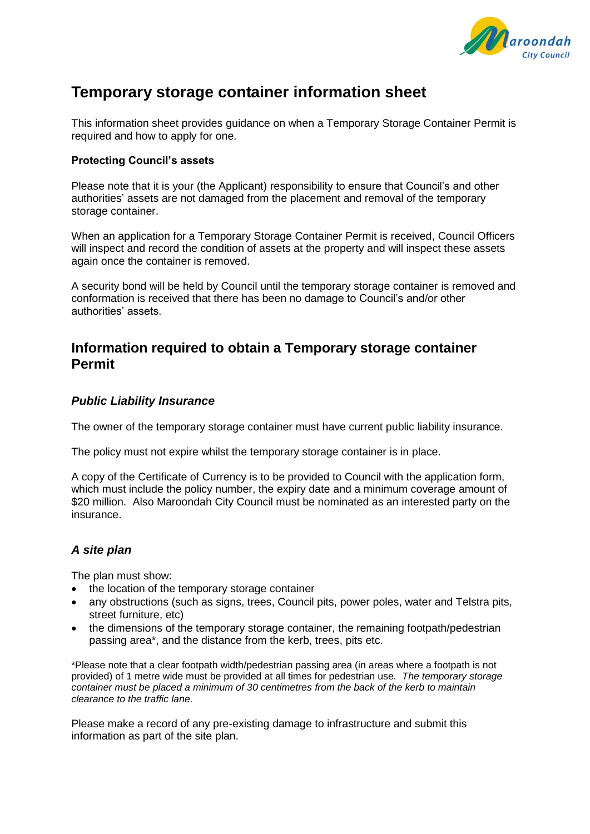

# **Temporary storage container information sheet**

This information sheet provides guidance on when a Temporary Storage Container Permit is required and how to apply for one.

#### **Protecting Council's assets**

Please note that it is your (the Applicant) responsibility to ensure that Council's and other authorities' assets are not damaged from the placement and removal of the temporary storage container.

When an application for a Temporary Storage Container Permit is received, Council Officers will inspect and record the condition of assets at the property and will inspect these assets again once the container is removed.

A security bond will be held by Council until the temporary storage container is removed and conformation is received that there has been no damage to Council's and/or other authorities' assets.

### **Information required to obtain a Temporary storage container Permit**

### *Public Liability Insurance*

The owner of the temporary storage container must have current public liability insurance.

The policy must not expire whilst the temporary storage container is in place.

A copy of the Certificate of Currency is to be provided to Council with the application form, which must include the policy number, the expiry date and a minimum coverage amount of \$20 million. Also Maroondah City Council must be nominated as an interested party on the insurance.

#### *A site plan*

The plan must show:

- the location of the temporary storage container
- any obstructions (such as signs, trees, Council pits, power poles, water and Telstra pits, street furniture, etc)
- the dimensions of the temporary storage container, the remaining footpath/pedestrian passing area\*, and the distance from the kerb, trees, pits etc.

\*Please note that a clear footpath width/pedestrian passing area (in areas where a footpath is not provided) of 1 metre wide must be provided at all times for pedestrian use*. The temporary storage container must be placed a minimum of 30 centimetres from the back of the kerb to maintain clearance to the traffic lane.*

Please make a record of any pre-existing damage to infrastructure and submit this information as part of the site plan.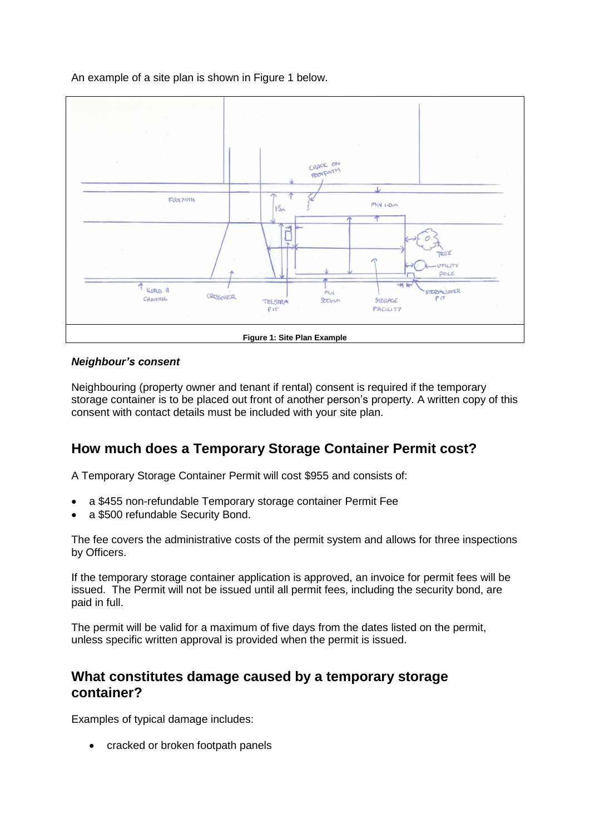An example of a site plan is shown in Figure 1 below.



### *Neighbour's consent*

Neighbouring (property owner and tenant if rental) consent is required if the temporary storage container is to be placed out front of another person's property. A written copy of this consent with contact details must be included with your site plan.

## **How much does a Temporary Storage Container Permit cost?**

A Temporary Storage Container Permit will cost \$955 and consists of:

- a \$455 non-refundable Temporary storage container Permit Fee
- a \$500 refundable Security Bond.

The fee covers the administrative costs of the permit system and allows for three inspections by Officers.

If the temporary storage container application is approved, an invoice for permit fees will be issued. The Permit will not be issued until all permit fees, including the security bond, are paid in full.

The permit will be valid for a maximum of five days from the dates listed on the permit, unless specific written approval is provided when the permit is issued.

### **What constitutes damage caused by a temporary storage container?**

Examples of typical damage includes:

• cracked or broken footpath panels